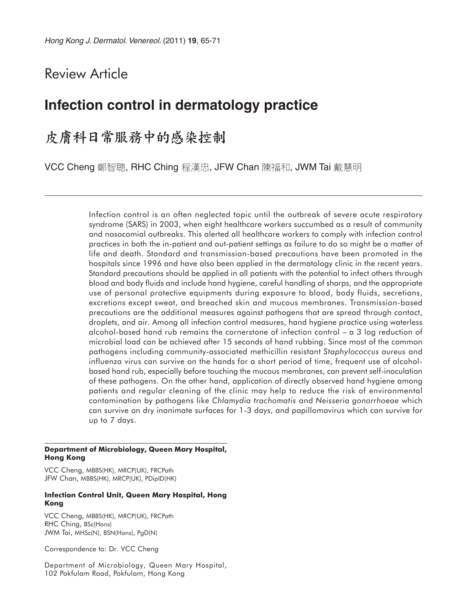# Review Article

# **Infection control in dermatology practice**

# 皮膚科日常服務中的感染控制

VCC Cheng 鄭智聰, RHC Ching 程漢忠, JFW Chan 陳福和, JWM Tai 戴慧明

Infection control is an often neglected topic until the outbreak of severe acute respiratory syndrome (SARS) in 2003, when eight healthcare workers succumbed as a result of community and nosocomial outbreaks. This alerted all healthcare workers to comply with infection control practices in both the in-patient and out-patient settings as failure to do so might be a matter of life and death. Standard and transmission-based precautions have been promoted in the hospitals since 1996 and have also been applied in the dermatology clinic in the recent years. Standard precautions should be applied in all patients with the potential to infect others through blood and body fluids and include hand hygiene, careful handling of sharps, and the appropriate use of personal protective equipments during exposure to blood, body fluids, secretions, excretions except sweat, and breached skin and mucous membranes. Transmission-based precautions are the additional measures against pathogens that are spread through contact, droplets, and air. Among all infection control measures, hand hygiene practice using waterless alcohol-based hand rub remains the cornerstone of infection control – a 3 log reduction of microbial load can be achieved after 15 seconds of hand rubbing. Since most of the common pathogens including community-associated methicillin resistant *Staphylococcus aureus* and influenza virus can survive on the hands for a short period of time, frequent use of alcoholbased hand rub, especially before touching the mucous membranes, can prevent self-inoculation of these pathogens. On the other hand, application of directly observed hand hygiene among patients and regular cleaning of the clinic may help to reduce the risk of environmental contamination by pathogens like *Chlamydia trachomatis* and *Neisseria gonorrhoeae* which can survive on dry inanimate surfaces for 1-3 days, and papillomavirus which can survive for up to 7 days.

#### **Department of Microbiology, Queen Mary Hospital, Hong Kong**

VCC Cheng, MBBS(HK), MRCP(UK), FRCPath JFW Chan, MBBS(HK), MRCP(UK), PDipID(HK)

#### **Infection Control Unit, Queen Mary Hospital, Hong Kong**

VCC Cheng, MBBS(HK), MRCP(UK), FRCPath RHC Ching, BSc(Hons) JWM Tai, MHSc(N), BSN(Hons), PgD(N)

Correspondence to: Dr. VCC Cheng

Department of Microbiology, Queen Mary Hospital, 102 Pokfulam Road, Pokfulam, Hong Kong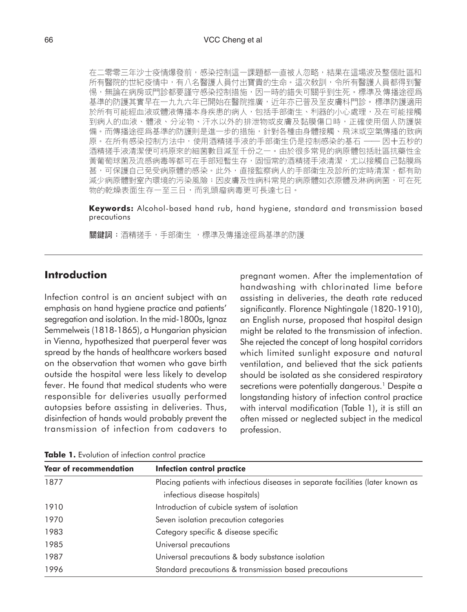在二零零三年沙士疫情爆發前,感染控制這一課題都一直被人忽略,結果在這場波及整個社區和 所有醫院的世紀疫情中,有八名醫護人員付出寶貴的生命。這次敎訓,令所有醫護人員都得到警 惕,無論在病房或門診都要謹守感染控制措施,因一時的錯失可關乎到生死。標準及傳播途徑爲 基準的防護其實早在一九九六年已開始在醫院推廣,近年亦已普及至皮膚科門診。標準防護適用 於所有可能經血液或體液傳播本身疾患的病人,包括手部衛生、利器的小心處理,及在可能接觸 到病人的血液、體液、分泌物、汗水以外的排泄物或皮膚及黏膜傷口時,正確使用個人防護裝 備。而傳播途徑爲基準的防護則是進一步的措施,針對各種由身體接觸、飛沫或空氣傳播的致病 原。在所有感染控制方法中,使用酒精搓手液的手部衛生仍是控制感染的基石 - 因十五秒的 酒精搓手液清潔便可將原來的細菌數目減至千份之一。由於很多常見的病原體包括社區抗藥性金 黃葡萄球菌及流感病毒等都可在手部短暫生存,固恒常的酒精搓手液清潔,尤以接觸自己黏膜爲 甚,可保護自己免受病原體的感染。此外,直接監察病人的手部衛生及診所的定時清潔,都有助 減少病原體對室內環境的污染風險;因皮膚及性病科常見的病原體如衣原體及淋病病菌,可在死 物的乾燥表面生存一至三日,而乳頭瘤病毒更可長達七日。

**Keywords:** Alcohol-based hand rub, hand hygiene, standard and transmission based precautions

關鍵詞:酒精搓手,手部衛生, 標準及傳播涂徑爲基準的防護

#### **Introduction**

Infection control is an ancient subject with an emphasis on hand hygiene practice and patients' segregation and isolation. In the mid-1800s, Ignaz Semmelweis (1818-1865), a Hungarian physician in Vienna, hypothesized that puerperal fever was spread by the hands of healthcare workers based on the observation that women who gave birth outside the hospital were less likely to develop fever. He found that medical students who were responsible for deliveries usually performed autopsies before assisting in deliveries. Thus, disinfection of hands would probably prevent the transmission of infection from cadavers to pregnant women. After the implementation of handwashing with chlorinated lime before assisting in deliveries, the death rate reduced significantly. Florence Nightingale (1820-1910), an English nurse, proposed that hospital design might be related to the transmission of infection. She rejected the concept of long hospital corridors which limited sunlight exposure and natural ventilation, and believed that the sick patients should be isolated as she considered respiratory secretions were potentially dangerous.<sup>1</sup> Despite a longstanding history of infection control practice with interval modification (Table 1), it is still an often missed or neglected subject in the medical profession.

| <b>Year of recommendation</b> | <b>Infection control practice</b>                                                |  |  |
|-------------------------------|----------------------------------------------------------------------------------|--|--|
| 1877                          | Placing patients with infectious diseases in separate facilities (later known as |  |  |
|                               | infectious disease hospitals)                                                    |  |  |
| 1910                          | Introduction of cubicle system of isolation                                      |  |  |
| 1970                          | Seven isolation precaution categories                                            |  |  |
| 1983                          | Category specific & disease specific                                             |  |  |
| 1985                          | Universal precautions                                                            |  |  |
| 1987                          | Universal precautions & body substance isolation                                 |  |  |
| 1996                          | Standard precautions & transmission based precautions                            |  |  |

**Table 1.** Evolution of infection control practice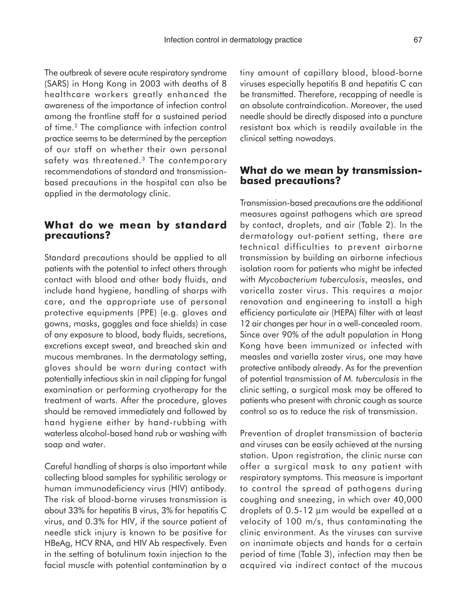The outbreak of severe acute respiratory syndrome (SARS) in Hong Kong in 2003 with deaths of 8 healthcare workers greatly enhanced the awareness of the importance of infection control among the frontline staff for a sustained period of time.2 The compliance with infection control practice seems to be determined by the perception of our staff on whether their own personal safety was threatened.<sup>3</sup> The contemporary recommendations of standard and transmissionbased precautions in the hospital can also be applied in the dermatology clinic.

#### **What do we mean by standard precautions?**

Standard precautions should be applied to all patients with the potential to infect others through contact with blood and other body fluids, and include hand hygiene, handling of sharps with care, and the appropriate use of personal protective equipments (PPE) (e.g. gloves and gowns, masks, goggles and face shields) in case of any exposure to blood, body fluids, secretions, excretions except sweat, and breached skin and mucous membranes. In the dermatology setting, gloves should be worn during contact with potentially infectious skin in nail clipping for fungal examination or performing cryotherapy for the treatment of warts. After the procedure, gloves should be removed immediately and followed by hand hygiene either by hand-rubbing with waterless alcohol-based hand rub or washing with soap and water.

Careful handling of sharps is also important while collecting blood samples for syphilitic serology or human immunodeficiency virus (HIV) antibody. The risk of blood-borne viruses transmission is about 33% for hepatitis B virus, 3% for hepatitis C virus, and 0.3% for HIV, if the source patient of needle stick injury is known to be positive for HBeAg, HCV RNA, and HIV Ab respectively. Even in the setting of botulinum toxin injection to the facial muscle with potential contamination by a

tiny amount of capillary blood, blood-borne viruses especially hepatitis B and hepatitis C can be transmitted. Therefore, recapping of needle is an absolute contraindication. Moreover, the used needle should be directly disposed into a puncture resistant box which is readily available in the clinical setting nowadays.

### **What do we mean by transmissionbased precautions?**

Transmission-based precautions are the additional measures against pathogens which are spread by contact, droplets, and air (Table 2). In the dermatology out-patient setting, there are technical difficulties to prevent airborne transmission by building an airborne infectious isolation room for patients who might be infected with *Mycobacterium tuberculosis*, measles, and varicella zoster virus. This requires a major renovation and engineering to install a high efficiency particulate air (HEPA) filter with at least 12 air changes per hour in a well-concealed room. Since over 90% of the adult population in Hong Kong have been immunized or infected with measles and variella zoster virus, one may have protective antibody already. As for the prevention of potential transmission of *M. tuberculosis* in the clinic setting, a surgical mask may be offered to patients who present with chronic cough as source control so as to reduce the risk of transmission.

Prevention of droplet transmission of bacteria and viruses can be easily achieved at the nursing station. Upon registration, the clinic nurse can offer a surgical mask to any patient with respiratory symptoms. This measure is important to control the spread of pathogens during coughing and sneezing, in which over 40,000 droplets of 0.5-12 µm would be expelled at a velocity of 100 m/s, thus contaminating the clinic environment. As the viruses can survive on inanimate objects and hands for a certain period of time (Table 3), infection may then be acquired via indirect contact of the mucous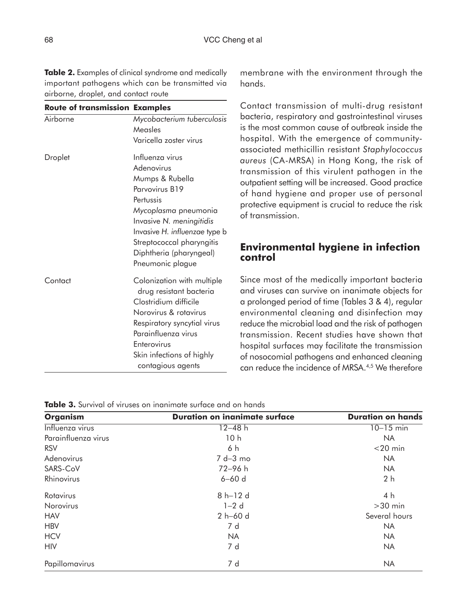**Table 2.** Examples of clinical syndrome and medically important pathogens which can be transmitted via airborne, droplet, and contact route

| <b>Route of transmission Examples</b> |                                                                                                                                                                                                                                                  |
|---------------------------------------|--------------------------------------------------------------------------------------------------------------------------------------------------------------------------------------------------------------------------------------------------|
| Airborne                              | Mycobacterium tuberculosis<br>Measles<br>Varicella zoster virus                                                                                                                                                                                  |
| Droplet                               | Influenza virus<br>Adenovirus<br>Mumps & Rubella<br>Parvovirus B19<br>Pertussis<br>Mycoplasma pneumonia<br>Invasive N. meningitidis<br>Invasive H. influenzae type b<br>Streptococcal pharyngitis<br>Diphtheria (pharyngeal)<br>Pneumonic plague |
| Contact                               | Colonization with multiple<br>drug resistant bacteria<br>Clostridium difficile<br>Norovirus & rotavirus<br>Respiratory syncytial virus<br>Parainfluenza virus<br>Enterovirus<br>Skin infections of highly<br>contagious agents                   |

membrane with the environment through the hands.

Contact transmission of multi-drug resistant bacteria, respiratory and gastrointestinal viruses is the most common cause of outbreak inside the hospital. With the emergence of communityassociated methicillin resistant *Staphylococcus aureus* (CA-MRSA) in Hong Kong, the risk of transmission of this virulent pathogen in the outpatient setting will be increased. Good practice of hand hygiene and proper use of personal protective equipment is crucial to reduce the risk of transmission.

### **Environmental hygiene in infection control**

Since most of the medically important bacteria and viruses can survive on inanimate objects for a prolonged period of time (Tables 3 & 4), regular environmental cleaning and disinfection may reduce the microbial load and the risk of pathogen transmission. Recent studies have shown that hospital surfaces may facilitate the transmission of nosocomial pathogens and enhanced cleaning can reduce the incidence of MRSA.<sup>4,5</sup> We therefore

**Table 3.** Survival of viruses on inanimate surface and on hands

| <b>Organism</b>     | <b>Duration on inanimate surface</b> | <b>Duration on hands</b> |  |
|---------------------|--------------------------------------|--------------------------|--|
| Influenza virus     | $12 - 48$ h                          | $10 - 15$ min            |  |
| Parainfluenza virus | 10h                                  | <b>NA</b>                |  |
| <b>RSV</b>          | 6 h                                  | $<$ 20 min               |  |
| Adenovirus          | $7 d - 3 mo$                         | <b>NA</b>                |  |
| SARS-CoV            | $72 - 96 h$                          | <b>NA</b>                |  |
| Rhinovirus          | $6 - 60$ d                           | 2 <sub>h</sub>           |  |
| Rotavirus           | $8 h-12 d$                           | 4 h                      |  |
| Norovirus           | $1-2$ d                              | $>30$ min                |  |
| <b>HAV</b>          | 2 h-60 d                             | Several hours            |  |
| <b>HBV</b>          | 7 d                                  | <b>NA</b>                |  |
| <b>HCV</b>          | <b>NA</b>                            | <b>NA</b>                |  |
| <b>HIV</b>          | 7 d                                  | <b>NA</b>                |  |
| Papillomavirus      | 7 d                                  | <b>NA</b>                |  |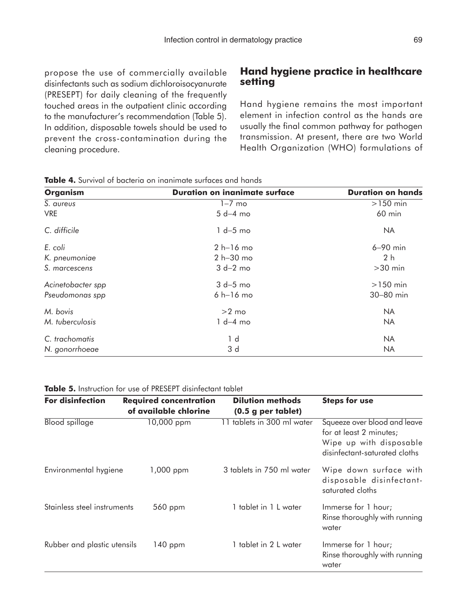propose the use of commercially available disinfectants such as sodium dichloroisocyanurate (PRESEPT) for daily cleaning of the frequently touched areas in the outpatient clinic according to the manufacturer's recommendation (Table 5). In addition, disposable towels should be used to prevent the cross-contamination during the cleaning procedure.

### **Hand hygiene practice in healthcare setting**

Hand hygiene remains the most important element in infection control as the hands are usually the final common pathway for pathogen transmission. At present, there are two World Health Organization (WHO) formulations of

| <b>Organism</b>   | <b>Duration on inanimate surface</b> | <b>Duration on hands</b> |  |
|-------------------|--------------------------------------|--------------------------|--|
| S. aureus         | $1-7$ mo                             | $>150$ min               |  |
| <b>VRE</b>        | $5 d-4 mo$                           | $60$ min                 |  |
| C. difficile      | $1 d-5$ mo                           | <b>NA</b>                |  |
| E. coli           | $2 h-16 mo$                          | $6-90$ min               |  |
| K. pneumoniae     | $2 h - 30 mo$                        | 2 <sub>h</sub>           |  |
| S. marcescens     | $3 d-2 mo$                           | $>30$ min                |  |
| Acinetobacter spp | $3 d-5$ mo                           | $>150$ min               |  |
| Pseudomonas spp   | $6 h-16 mo$                          | 30-80 min                |  |
| M. bovis          | $>2$ mo                              | <b>NA</b>                |  |
| M. tuberculosis   | $1 d-4 mo$                           | <b>NA</b>                |  |
| C. trachomatis    | 1 d                                  | <b>NA</b>                |  |
| N. gonorrhoeae    | 3 d                                  | <b>NA</b>                |  |

|  |  | Table 4. Survival of bacteria on inanimate surfaces and hands |  |  |
|--|--|---------------------------------------------------------------|--|--|
|  |  |                                                               |  |  |

|  | Table 5. Instruction for use of PRESEPT disinfectant tablet |
|--|-------------------------------------------------------------|
|--|-------------------------------------------------------------|

| <b>For disinfection</b>     | <b>Required concentration</b> | <b>Dilution methods</b>    | <b>Steps for use</b>                                                                                                |  |
|-----------------------------|-------------------------------|----------------------------|---------------------------------------------------------------------------------------------------------------------|--|
|                             | of available chlorine         | $(0.5$ g per tablet)       |                                                                                                                     |  |
| <b>Blood</b> spillage       | 10,000 ppm                    | 11 tablets in 300 ml water | Squeeze over blood and leave<br>for at least 2 minutes;<br>Wipe up with disposable<br>disinfectant-saturated cloths |  |
| Environmental hygiene       | 1,000 ppm                     | 3 tablets in 750 ml water  | Wipe down surface with<br>disposable disinfectant-<br>saturated cloths                                              |  |
| Stainless steel instruments | 560 ppm                       | 1 tablet in 1 L water      | Immerse for 1 hour;<br>Rinse thoroughly with running<br>water                                                       |  |
| Rubber and plastic utensils | $140$ ppm                     | 1 tablet in 2 L water      | Immerse for 1 hour;<br>Rinse thoroughly with running<br>water                                                       |  |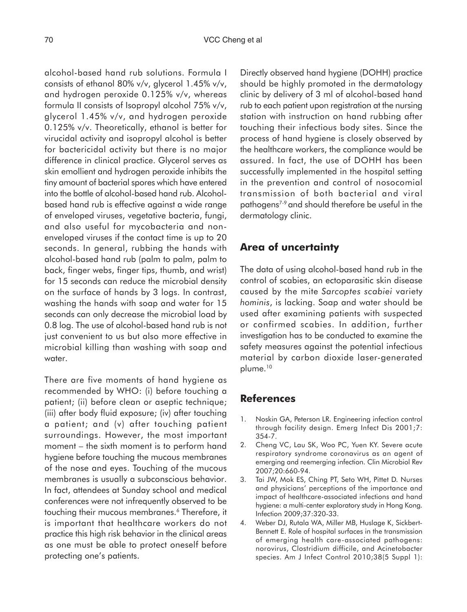alcohol-based hand rub solutions. Formula I consists of ethanol 80% v/v, glycerol 1.45% v/v, and hydrogen peroxide 0.125% v/v, whereas formula II consists of Isopropyl alcohol 75% v/v, glycerol 1.45% v/v, and hydrogen peroxide 0.125% v/v. Theoretically, ethanol is better for virucidal activity and isopropyl alcohol is better for bactericidal activity but there is no major difference in clinical practice. Glycerol serves as skin emollient and hydrogen peroxide inhibits the tiny amount of bacterial spores which have entered into the bottle of alcohol-based hand rub. Alcoholbased hand rub is effective against a wide range of enveloped viruses, vegetative bacteria, fungi, and also useful for mycobacteria and nonenveloped viruses if the contact time is up to 20 seconds. In general, rubbing the hands with alcohol-based hand rub (palm to palm, palm to back, finger webs, finger tips, thumb, and wrist) for 15 seconds can reduce the microbial density on the surface of hands by 3 logs. In contrast, washing the hands with soap and water for 15 seconds can only decrease the microbial load by 0.8 log. The use of alcohol-based hand rub is not just convenient to us but also more effective in microbial killing than washing with soap and water.

There are five moments of hand hygiene as recommended by WHO: (i) before touching a patient; (ii) before clean or aseptic technique; (iii) after body fluid exposure; (iv) after touching a patient; and (v) after touching patient surroundings. However, the most important moment – the sixth moment is to perform hand hygiene before touching the mucous membranes of the nose and eyes. Touching of the mucous membranes is usually a subconscious behavior. In fact, attendees at Sunday school and medical conferences were not infrequently observed to be touching their mucous membranes.<sup>6</sup> Therefore, it is important that healthcare workers do not practice this high risk behavior in the clinical areas as one must be able to protect oneself before protecting one's patients.

Directly observed hand hygiene (DOHH) practice should be highly promoted in the dermatology clinic by delivery of 3 ml of alcohol-based hand rub to each patient upon registration at the nursing station with instruction on hand rubbing after touching their infectious body sites. Since the process of hand hygiene is closely observed by the healthcare workers, the compliance would be assured. In fact, the use of DOHH has been successfully implemented in the hospital setting in the prevention and control of nosocomial transmission of both bacterial and viral pathogens<sup>7-9</sup> and should therefore be useful in the dermatology clinic.

## **Area of uncertainty**

The data of using alcohol-based hand rub in the control of scabies, an ectoparasitic skin disease caused by the mite *Sarcoptes scabiei* variety *hominis*, is lacking. Soap and water should be used after examining patients with suspected or confirmed scabies. In addition, further investigation has to be conducted to examine the safety measures against the potential infectious material by carbon dioxide laser-generated plume.<sup>10</sup>

## **References**

- 1. Noskin GA, Peterson LR. Engineering infection control through facility design. Emerg Infect Dis 2001;7: 354-7.
- 2. Cheng VC, Lau SK, Woo PC, Yuen KY. Severe acute respiratory syndrome coronavirus as an agent of emerging and reemerging infection. Clin Microbiol Rev 2007;20:660-94.
- 3. Tai JW, Mok ES, Ching PT, Seto WH, Pittet D. Nurses and physicians' perceptions of the importance and impact of healthcare-associated infections and hand hygiene: a multi-center exploratory study in Hong Kong. Infection 2009;37:320-33.
- 4. Weber DJ, Rutala WA, Miller MB, Huslage K, Sickbert-Bennett E. Role of hospital surfaces in the transmission of emerging health care-associated pathogens: norovirus, Clostridium difficile, and Acinetobacter species. Am J Infect Control 2010;38(5 Suppl 1):